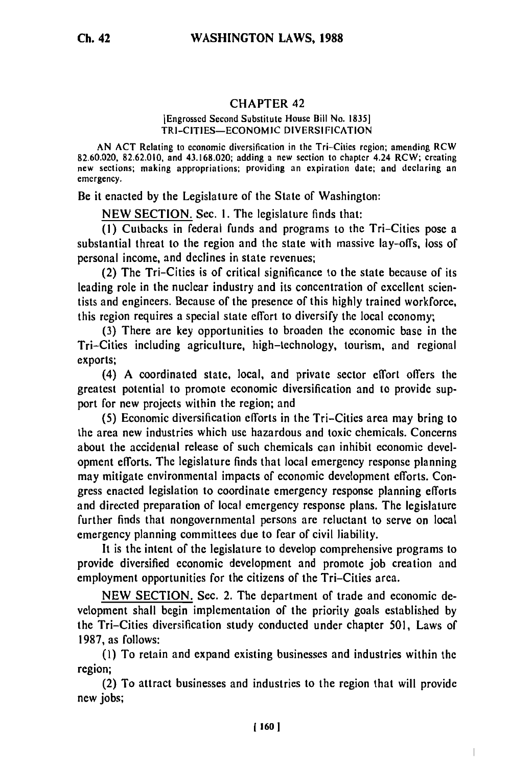## **CHAPTER** 42

## [Engrossed Second Substitute House Bill No. 1835] TRI-CITIES-ECONOMIC DIVERSIFICATION

AN ACT Relating to economic diversification in the Tri-Cities region; amending RCW 82.60.020, 82.62.010, and 43.168.020, adding a new section to chapter 4.24 RCW; creating 82.60.020, 82.62.010, and 43.168.020; adding a new section to chapter 4.24 RCW; creating an ew sections; making appropriations; providing an expiration date; and declaring an emergency.

Be it enacted by the Legislature of the State of Washington:

NEW SECTION. Sec. I. The legislature finds that:

**(1)** Cutbacks in federal funds and programs to the Tri-Cities pose a substantial threat to the region and the state with massive lay-offs, loss of personal income, and declines in state revenues;

(2) The Tri-Cities is of critical significance to the state because of its leading role in the nuclear industry and its concentration of excellent scientists and engineers. Because of the presence of this highly trained workforce, this region requires a special state effort to diversify the local economy;

(3) There are key opportunities to broaden the economic base in the Tri-Cities including agriculture, high-technology, tourism, and regional exports;

(4) A coordinated state, local, and private sector effort offers the greatest potential to promote economic diversification and to provide support for new projects within the region; and

(5) Economic diversification efforts in the Tri-Cities area may bring to the area new industries which use hazardous and toxic chemicals. Concerns about the accidental release of such chemicals can inhibit economic development efforts. The legislature finds that local emergency response planning may mitigate environmental impacts of economic development efforts. Congress enacted legislation to coordinate emergency response planning efforts and directed preparation of local emergency response plans. The legislature further finds that nongovernmental persons are reluctant to serve on local emergency planning committees due to fear of civil liability.

It is the intent of the legislature to develop comprehensive programs to provide diversified economic development and promote job creation and employment opportunities for the citizens of the Tri-Cities area.

NEW SECTION. Sec. 2. The department of trade and economic development shall begin implementation of the priority goals established by the Tri-Cities diversification study conducted under chapter 501, Laws of 1987, as follows:

(I) To retain and expand existing businesses and industries within the region;

(2) To attract businesses and industries to the region that will provide new jobs;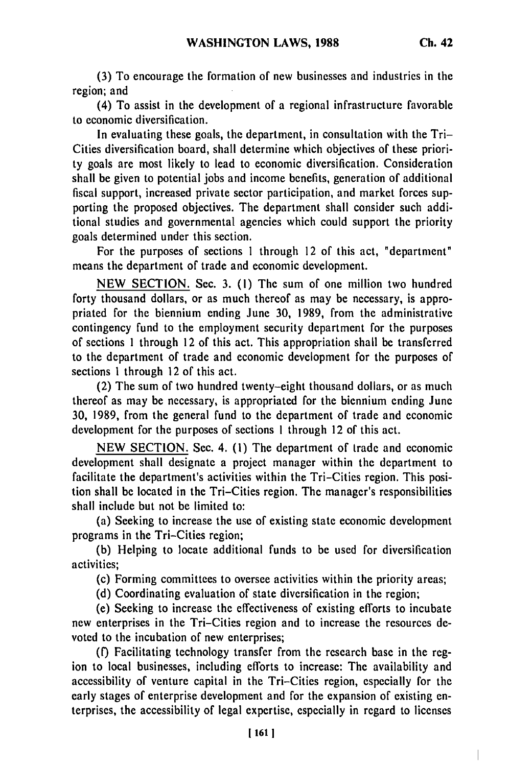$\overline{\phantom{a}}$ 

**(3)** To encourage the formation of new businesses and industries in the region; and

(4) To assist in the development of a regional infrastructure favorable to economic diversification.

In evaluating these goals, the department, in consultation with the Tri-Cities diversification board, shall determine which objectives of these priority goals are most likely to lead to economic diversification. Consideration shall be given to potential jobs and income benefits, generation of additional fiscal support, increased private sector participation, and market forces supporting the proposed objectives. The department shall consider such additional studies and governmental agencies which could support the priority goals determined under this section.

For the purposes of sections 1 through 12 of this act, "department" means the department of trade and economic development.

NEW SECTION. Sec. 3. **(1)** The sum of one million two hundred forty thousand dollars, or as much thereof as may be necessary, is appropriated for the biennium ending June 30, 1989, from the administrative contingency fund to the employment security department for the purposes of sections 1 through 12 of this act. This appropriation shall be transferred to the department of trade and economic development for the purposes of sections 1 through 12 of this act.

(2) The sum of two hundred twenty-eight thousand dollars, or as much thereof as may be necessary, is appropriated for the biennium ending June 30, 1989, from the general fund to the department of trade and economic development for the purposes of sections I through 12 of this act.

NEW SECTION. Sec. 4. (1) The department of trade and economic development shall designate a project manager within the department to facilitate the department's activities within the Tri-Cities region. This position shall be located in the Tri-Cities region. The manager's responsibilities shall include but not be limited to:

(a) Seeking to increase the use of existing state economic development programs in the Tri-Cities region;

(b) Helping to locate additional funds to be used for diversification activities;

(c) Forming committees to oversee activities within the priority areas;

(d) Coordinating evaluation of state diversification in the region;

(e) Seeking to increase the effectiveness of existing efforts to incubate new enterprises in the Tri-Cities region and to increase the resources devoted to the incubation of new enterprises;

(f) Facilitating technology transfer from the research base in the region to local businesses, including efforts to increase: The availability and accessibility of venture capital in the Tri-Cities region, especially for the early stages of enterprise development and for the expansion of existing enterprises, the accessibility of legal expertise, especially in regard to licenses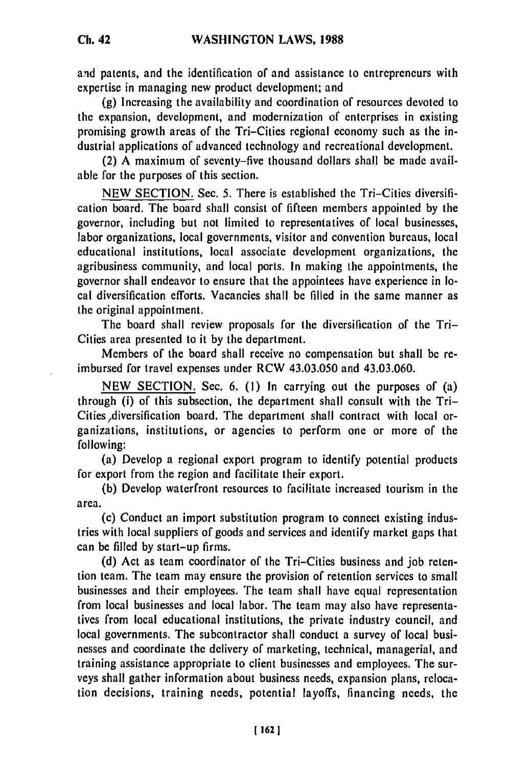and patents, and the identification of and assistance to entrepreneurs with expertise in managing new product development; and

(g) Increasing the availability and coordination of resources devoted to the expansion, development, and modernization of enterprises in existing promising growth areas of the Tri-Cities regional economy such as the industrial applications of advanced technology and recreational development.

(2) A maximum of seventy-five thousand dollars shall be made available for the purposes of this section.

NEW SECTION. Sec. 5. There is established the Tri-Cities diversification board. The board shall consist of fifteen members appointed by the governor, including but not limited to representatives of local businesses, labor organizations, local governments, visitor and convention bureaus, local educational institutions, local associate development organizations, the agribusiness community, and local ports. In making the appointments, the governor shall endeavor to ensure that the appointees have experience in local diversification efforts. Vacancies shall be filled in the same manner as the original appointment.

The board shall review proposals for the diversification of the Tri-Cities area presented to it by the department.

Members of the board shall receive no compensation but shall be reimbursed for travel expenses under RCW 43.03.050 and 43.03.060.

NEW SECTION. Sec. 6. (I) In carrying out the purposes of (a) through (i) of this subsection, the department shall consult with the Tri-Cities diversification board. The department shall contract with local organizations, institutions, or agencies to perform one or more of the following:

(a) Develop a regional export program to identify potential products for export from the region and facilitate their export.

(b) Develop waterfront resources to facilitate increased tourism in the area.

(c) Conduct an import substitution program to connect existing industries with local suppliers of goods and services and identify market gaps that can be filled by start-up firms.

(d) Act as team coordinator of the Tri-Cities business and job retention team. The team may ensure the provision of retention services to small businesses and their employees. The team shall have equal representation from local businesses and local labor. The team may also have representatives from local educational institutions, the private industry council, and local governments. The subcontractor shall conduct a survey of local businesses and coordinate the delivery of marketing, technical, managerial, and training assistance appropriate to client businesses and employees. The surveys shall gather information about business needs, expansion plans, relocation decisions, training needs, potential layoffs, financing needs, the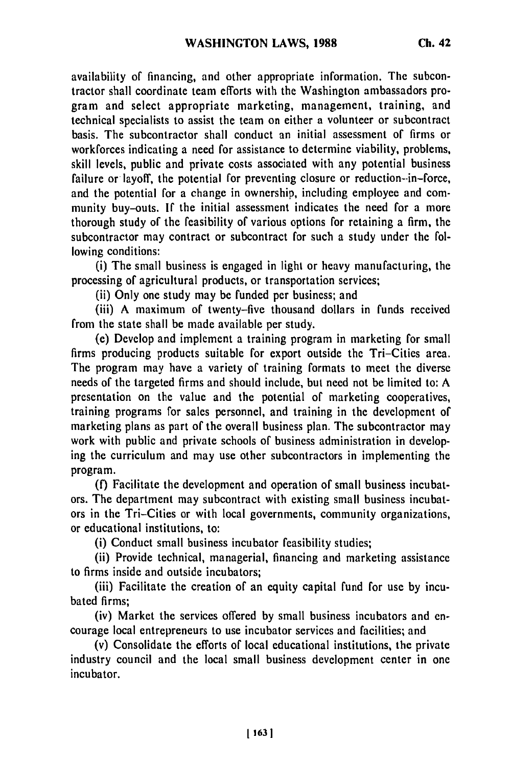availability of financing, and other appropriate information. The subcontractor shall coordinate team efforts with the Washington ambassadors program and select appropriate marketing, management, training, and technical specialists to assist the team on either a volunteer or subcontract basis. The subcontractor shall conduct an initial assessment of firms or workforces indicating a need for assistance to determine viability, problems, skill levels, public and private costs associated with any potential business failure or layoff, the potential for preventing closure or reduction-in-force, and the potential for a change in ownership, including employee and community buy-outs. If the initial assessment indicates the need for a more thorough study of the feasibility of various options for retaining a firm, the subcontractor may contract or subcontract for such a study under the following conditions:

(i) The small business is engaged in light or heavy manufacturing, the processing of agricultural products, or transportation services;

(ii) Only one study may be funded per business; and

(iii) A maximum of twenty-five thousand dollars in funds received from the state shall be made available per study.

(e) Develop and implement a training program in marketing for small firms producing products suitable for export outside the Tri-Cities area. The program may have a variety of training formats to meet the diverse needs of the targeted firms and should include, but need not be limited to: A presentation on the value and the potential of marketing cooperatives, training programs for sales personnel, and training in the development of marketing plans as part of the overall business plan. The subcontractor may work with public and private schools of business administration in developing the curriculum and may use other subcontractors in implementing the program.

(f) Facilitate the development and operation of small business incubators. The department may subcontract with existing small business incubators in the Tri-Cities or with local governments, community organizations, or educational institutions, to:

(i) Conduct small business incubator feasibility studies;

(ii) Provide technical, managerial, financing and marketing assistance to firms inside and outside incubators;

(iii) Facilitate the creation of an equity capital fund for use by incubated firms;

(iv) Market the services offered by small business incubators and encourage local entrepreneurs to use incubator services and facilities; and

(v) Consolidate the efforts of local educational institutions, the private industry council and the local small business development center in one incubator.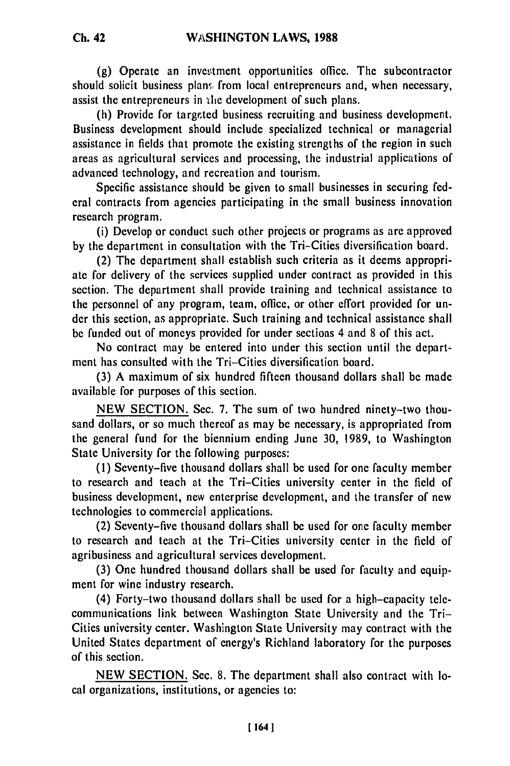**Ch. 42**

**(g)** Operate an investment opportunities office. The subcontractor should solicit business plan, from local entrepreneurs and, when necessary, assist the entrepreneurs in the development of such plans.

(h) Provide for targeted business recruiting and business development. Business development should include specialized technical or managerial assistance in fields that promote the existing strengths of the region in such areas as agricultural services and processing, the industrial applications of advanced technology, and recreation and tourism.

Specific assistance should be given to small businesses in securing federal contracts from agencies participating in the small business innovation research program.

(i) Develop or conduct such other projects or programs as are approved by the department in consultation with the Tri-Cities diversification board.

(2) The department shall establish such criteria as it deems appropriate for delivery of the services supplied under contract as provided in this section. The department shall provide training and technical assistance to the personnel of any program, team, office, or other effort provided for under this section, as appropriate. Such training and technical assistance shall be funded out of moneys provided for under sections 4 and 8 of this act.

No contract may be entered into under this section until the department has consulted with the Tri-Cities diversification board.

(3) A maximum of six hundred fifteen thousand dollars shall be made available for purposes of this section.

NEW SECTION. Sec. 7. The sum of two hundred ninety-two thousand dollars, or so much thereof as may be necessary, is appropriated from the general fund for the biennium ending June 30, 1989, to Washington State University for the following purposes:

**(1)** Seventy-five thousand dollars shall be used for one faculty member to research and teach at the Tri-Cities university center in the field of business development, new enterprise development, and the transfer of new technologies to commercial applications.

(2) Seventy-five thousand dollars shall be used for one faculty member to research and teach at the Tri-Cities university center in the field of agribusiness and agricultural services development.

(3) One hundred thousand dollars shall be used for faculty and equipment for wine industry research.

(4) Forty-two thousand dollars shall be used for a high-capacity telecommunications link between Washington State University and the Tri-Cities university center. Washington State University may contract with the United States department of energy's Richland laboratory for the purposes of this section.

NEW SECTION. Sec. 8. The department shall also contract with local organizations, institutions, or agencies to: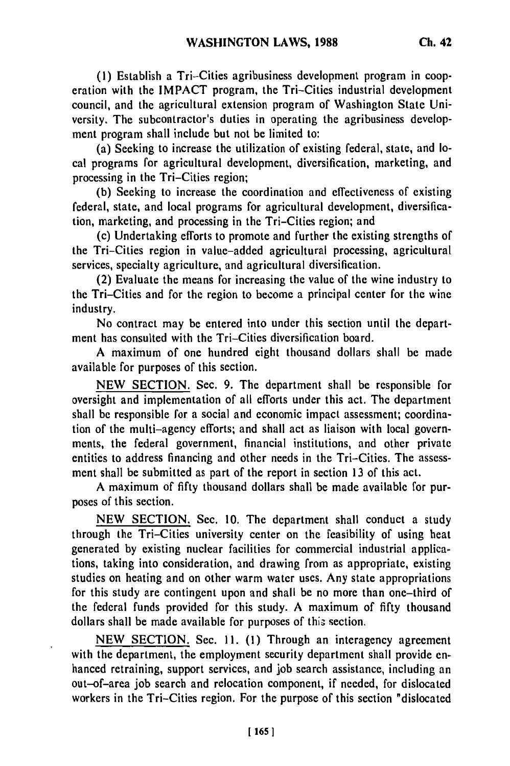**(1)** Establish a Tri-Cities agribusiness development program in cooperation with the IMPACT program, the Tri-Cities industrial development council, and the agricultural extension program of Washington State University. The subcontractor's duties in operating the agribusiness development program shall include but not be limited to:

(a) Seeking to increase the utilization of existing federal, state, and local programs for agricultural development, diversification, marketing, and processing in the Tri-Cities region;

(b) Seeking to increase the coordination and effectiveness of existing federal, state, and local programs for agricultural development, diversification, marketing, and processing in the Tri-Cities region; and

(c) Undertaking efforts to promote and further the existing strengths of the Tri-Cities region in value-added agricultural processing, agricultural services, specialty agriculture, and agricultural diversification.

(2) Evaluate the means for increasing the value of the wine industry to the Tri-Cities and for the region to become a principal center for the wine industry.

No contract may be entered into under this section until the department has consulted with the Tri-Cities diversification board.

A maximum of one hundred eight thousand dollars shall be made available for purposes of this section.

NEW SECTION. Sec. 9. The department shall be responsible for oversight and implementation of all efforts under this act. The department shall be responsible for a social and economic impact assessment; coordination of the multi-agency efforts; and shall act as liaison with local governments, the federal government, financial institutions, and other private entities to address financing and other needs in the Tri-Cities. The assessment shall be submitted as part of the report in section 13 of this act.

A maximum of fifty thousand dollars shall be made available for purposes of this section.

NEW SECTION. Sec. 10. The department shall conduct a study through the Tri-Cities university center on the feasibility of using heat generated by existing nuclear facilities for commercial industrial applications, taking into consideration, and drawing from as appropriate, existing studies on heating and on other warm water uses. Any state appropriations for this study are contingent upon and shall be no more than one-third of the federal funds provided for this study. A maximum of fifty thousand dollars shall be made available for purposes of this section.

NEW SECTION. Sec. **11. (1)** Through an interagency agreement with the department, the employment security department shall provide enhanced retraining, support services, and job search assistance, including an out-of-area job search and relocation component, if needed, for dislocated workers in the Tri-Cities region. For the purpose of this section "dislocated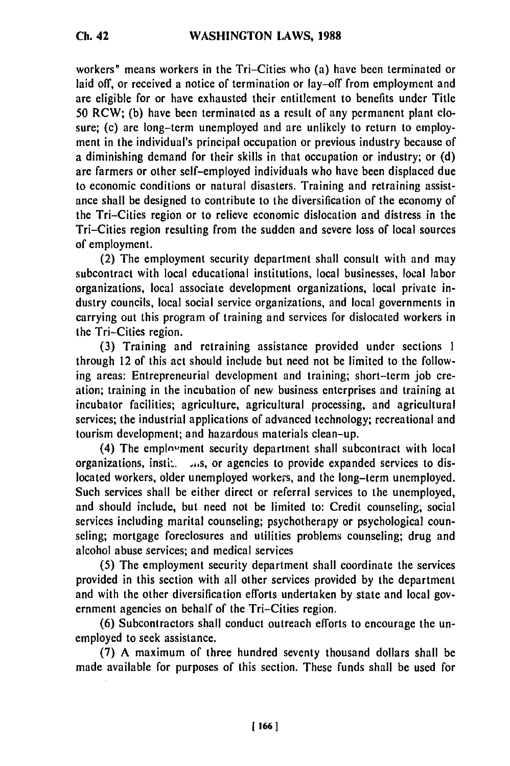workers" means workers in the Tri-Cities who (a) have been terminated or laid off, or received a notice of termination or lay-off from employment and are eligible for or have exhausted their entitlement to benefits under Title 50 RCW; (b) have been terminated as a result of any permanent plant closure; (c) are long-term unemployed and are unlikely to return to employment in the individual's principal occupation or previous industry because of a diminishing demand for their skills in that occupation or industry; or (d) are farmers or other self-employed individuals who have been displaced due to economic conditions or natural disasters. Training and retraining assistance shall be designed to contribute to the diversification of the economy of the Tri-Cities region or to relieve economic dislocation and distress in the Tri-Cities region resulting from the sudden and severe loss of local sources of employment.

(2) The employment security department shall consult with and may subcontract with local educational institutions, local businesses, local labor organizations, local associate development organizations, local private industry councils, local social service organizations, and local governments in carrying out this program of training and services for dislocated workers in the Tri-Cities region.

(3) Training and retraining assistance provided under sections 1 through 12 of this act should include but need not be limited to the following areas: Entrepreneurial development and training; short-term job creation; training in the incubation of new business enterprises and training at incubator facilities; agriculture, agricultural processing, and agricultural services; the industrial applications of advanced technology; recreational and tourism development; and hazardous materials clean-up.

(4) The employment security department shall subcontract with local organizations, instited  $\lambda$ ,  $\mu$ , or agencies to provide expanded services to dislocated workers, older unemployed workers, and the long-term unemployed. Such services shall be either direct or referral services to the unemployed, and should include, but need not be limited to: Credit counseling; social services including marital counseling; psychotherapy or psychological counseling; mortgage foreclosures and utilities problems counseling; drug and alcohol abuse services; and medical services

(5) The employment security department shall coordinate the services provided in this section with all other services provided by the department and with the other diversification efforts undertaken by state and local government agencies on behalf of the Tri-Cities region.

(6) Subcontractors shall conduct outreach efforts to encourage the unemployed to seek assistance.

(7) A maximum of three hundred seventy thousand dollars shall be made available for purposes of this section. These funds shall be used for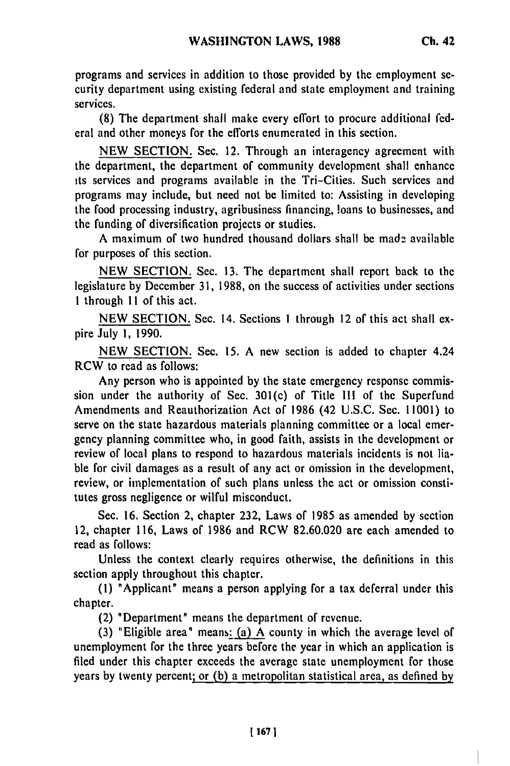programs and services in addition to those provided by the employment security department using existing federal and state employment and training services.

(8) The department shall make every effort to procure additional federal and other moneys for the efforts enumerated in this section.

**NEW SECTION.** Sec. 12. Through an interagency agreement with the department, the department of community development shall enhance its services and programs available in the Tri-Cities. Such services and programs may include, but need not be limited to: Assisting in developing the food processing industry, agribusiness financing, loans to businesses, and the funding of diversification projects or studies.

A maximum of two hundred thousand dollars shall be made available for purposes of this section.

NEW SECTION. Sec. 13. The department shall report back to the legislature by December 31, 1988, on the success of activities under sections 1 through **II** of this act.

NEW SECTION. Sec. 14. Sections 1 through 12 of this act shall expire July **1,** 1990.

NEW SECTION. Sec. 15. A new section is added to chapter 4.24 RCW to read as follows:

Any person who is appointed by the state emergency response commission under the authority of Sec. 301(c) of Title Ill of the Superfund Amendments and Reauthorization Act of 1986 (42 U.S.C. Sec. 11001) to serve on the state hazardous materials planning committee or a local emergency planning committee who, in good faith, assists in the development or review of local plans to respond to hazardous materials incidents is not liable for civil damages as a result of any act or omission in the development, review, or implementation of such plans unless the act or omission constitutes gross negligence or wilful misconduct.

Sec. 16. Section 2, chapter 232, Laws of 1985 as amended by section 12, chapter 116, Laws of 1986 and RCW 82.60.020 are each amended to read as follows:

Unless the context clearly requires otherwise, the definitions in this section apply throughout this chapter.

(1) "Applicant" means a person applying for a tax deferral under this chapter.

(2) "Department" means the department of revenue.

(3) "Eligible area" means: (a) A county in which the average level of unemployment for the three years before the year in which an application is filed under this chapter exceeds the average state unemployment for those years by twenty percent; or (b) a metropolitan statistical area, as defined by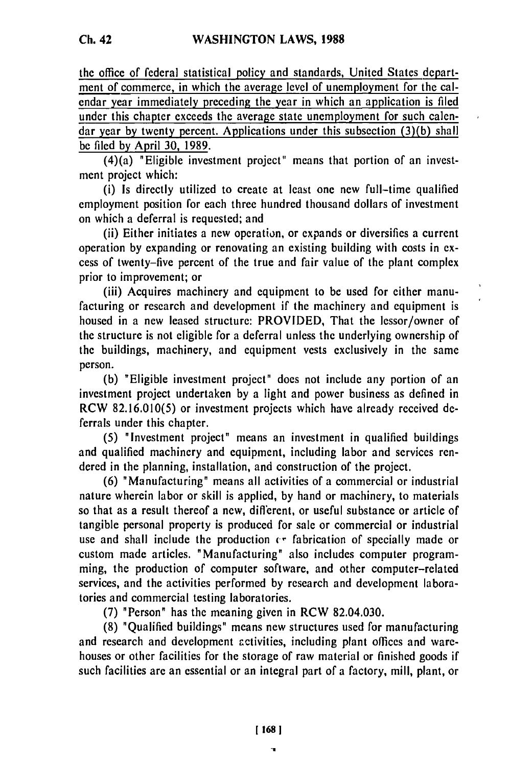the office of federal statistical policy and standards, United States department of commerce, in which the average level of unemployment for the calendar year immediately preceding the year in which an application is filed under this chapter exceeds the average state unemployment for such calendar year **by** twenty percent. Applications under this subsection (3)(b) shall be filed **by** April 30, 1989.

(4)(a) "Eligible investment project" means that portion of an investment project which:

(i) Is directly utilized to create at least one new full-time qualified employment position for each three hundred thousand dollars of investment on which a deferral is requested; and

(ii) Either initiates a new operation, or expands or diversifies a current operation by expanding or renovating an existing building with costs in excess of twenty-five percent of the true and fair value of the plant complex prior to improvement; or

(iii) Acquires machinery and equipment to be used for either manufacturing or research and development if the machinery and equipment is housed in a new leased structure: PROVIDED, That the lessor/owner of the structure is not eligible for a deferral unless the underlying ownership of the buildings, machinery, and equipment vests exclusively in the same person.

(b) "Eligible investment project" does not include any portion of an investment project undertaken by a light and power business as defined in RCW 82.16.010(5) or investment projects which have already received deferrals under this chapter.

(5) "Investment project" means an investment in qualified buildings and qualified machinery and equipment, including labor and services rendered in the planning, installation, and construction of the project.

(6) "Manufacturing" means all activities of a commercial or industrial nature wherein labor or skill is applied, by hand or machinery, to materials so that as a result thereof a new, diflerent, or useful substance or article of tangible personal property is produced for sale or commercial or industrial use and shall include the production  $\epsilon$ <sup>*r*</sup> fabrication of specially made or custom made articles. "Manufacturing" also includes computer programming, the production of computer software, and other computer-related services, and the activities performed by research and development laboratories and commercial testing laboratories.

(7) "Person" has the meaning given in RCW 82.04.030.

(8) "Qualified buildings" means new structures used for manufacturing and research and development activities, including plant offices and warehouses or other facilities for the storage of raw material or finished goods if such facilities are an essential or an integral part of a factory, mill, plant, or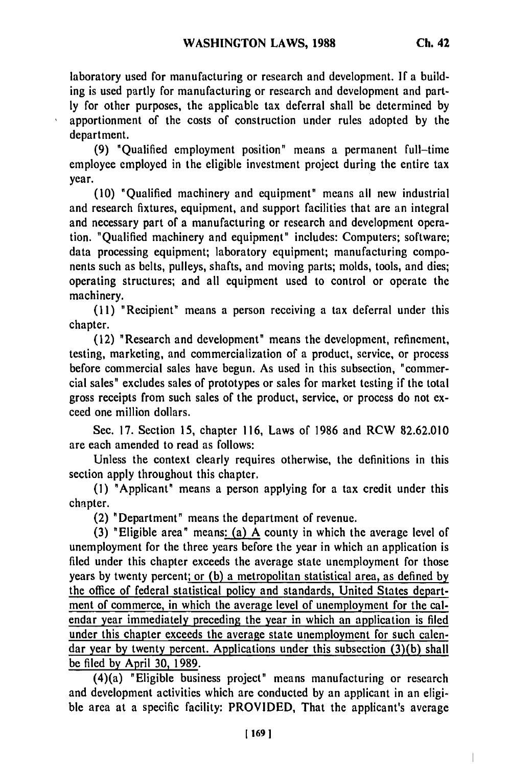$\begin{array}{c} \hline \end{array}$ 

laboratory used for manufacturing or research and development. **If** a building is used partly for manufacturing or research and development and partly for other purposes, the applicable tax deferral shall be determined by apportionment of the costs of construction under rules adopted by the department.

(9) "Qualified employment position" means a permanent full-time employee employed in the eligible investment project during the entire tax year.

(10) "Qualified machinery and equipment" means all new industrial and research fixtures, equipment, and support facilities that are an integral and necessary part of a manufacturing or research and development operation. "Qualified machinery and equipment" includes: Computers; software; data processing equipment; laboratory equipment; manufacturing components such as belts, pulleys, shafts, and moving parts; molds, tools, and dies; operating structures; and all equipment used to control or operate the machinery.

(11) "Recipient" means a person receiving a tax deferral under this chapter.

(12) "Research and development" means the development, refinement, testing, marketing, and commercialization of a product, service, or process before commercial sales have begun. As used in this subsection, "commercial sales" excludes sales of prototypes or sales for market testing if the total gross receipts from such sales of the product, service, or process do not exceed one million dollars.

Sec. 17. Section 15, chapter 116, Laws of 1986 and RCW 82.62.010 are each amended to read as follows:

Unless the context clearly requires otherwise, the definitions in this section apply throughout this chapter.

**(1)** "Applicant" means a person applying for a tax credit under this chapter.

(2) "Department" means the department of revenue.

(3) "Eligible area" means: (a) A county in which the average level of unemployment for the three years before the year in which an application is filed under this chapter exceeds the average state unemployment for those years by twenty percent; or (b) a metropolitan statistical area, as defined by the office of federal statistical policy and standards, United States department of commerce, in which the average level of unemployment for the calendar year immediately preceding the year in which an application is filed under this chapter exceeds the average state unemployment for such calendar year by twenty percent. Applications under this subsection (3)(b) shall be filed by April **30,** 1989.

(4)(a) "Eligible business project" means manufacturing or research and development activities which are conducted by an applicant in an eligible area at a specific facility: PROVIDED, That the applicant's average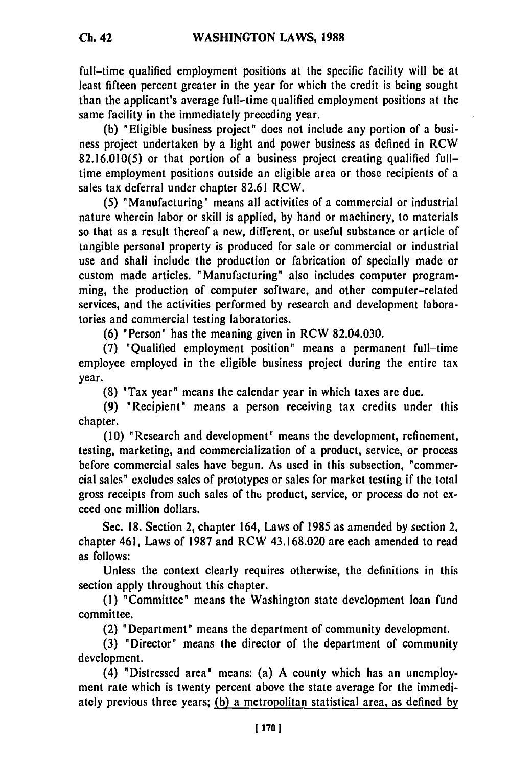full-time qualified employment positions at the specific facility will be at least fifteen percent greater in the year for which the credit is being sought than the applicant's average full-time qualified employment positions at the same facility in the immediately preceding year.

**(b)** "Eligible business project" does not include any portion of a business project undertaken **by** a light and power business as defined in RCW **82.16.010(5)** or that portion of a business project creating qualified fulltime employment positions outside an eligible area or those recipients of a sales tax deferral under chapter **82.61** RCW.

**(5)** "Manufacturing" means all activities of a commercial or industrial nature wherein labor or skill is applied, **by** hand or machinery, to materials so that as a result thereof a new, different, or useful substance or article of tangible personal property is produced for sale or commercial or industrial use and shall include the production or fabrication of specially made or custom made articles. "Manufacturing" also includes computer programming, the production of computer software, and other computer-related services, and the activities performed **by** research and development laboratories and commercial testing laboratories.

**(6)** "Person" has the meaning given in RCW 82.04.030.

**(7)** "Qualified employment position" means a permanent full-time employee employed in the eligible business project during the entire tax year.

**(8)** "Tax year" means the calendar year in which taxes are due.

**(9)** "Recipient" means a person receiving tax credits under this chapter.

**(10)** "Research and development' means the development, refinement, testing, marketing, and commercialization of a product, service, or process before commercial sales have begun. As used in this subsection, "commercial sales" excludes sales of prototypes or sales for market testing if the total gross receipts from such sales of the product, service, or process do not exceed one million dollars.

Sec. **18.** Section 2, chapter 164, Laws of **1985** as amended **by** section 2, chapter 461, Laws of **1987** and RCW **43.168.020** are each amended to read as follows:

Unless the context clearly requires otherwise, the definitions in this section apply throughout this chapter.

**(1)** "Committee" means the Washington state development loan fund committee.

(2) "Department" means the department of community development.

**(3)** "Director" means the director of the department of community development.

(4) "Distressed area" means: (a) **A** county which has an unemployment rate which is twenty percent above the state average for the immediately previous three years; **(b)** a metropolitan statistical area, as defined **by**